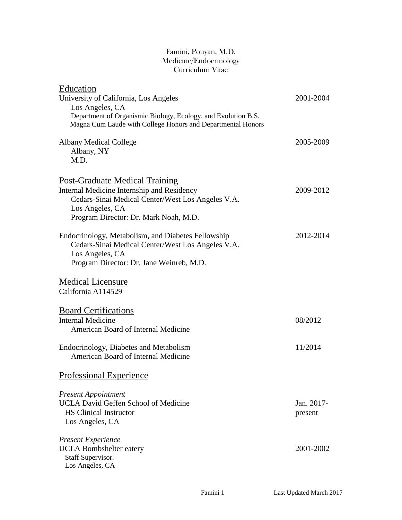#### Famini, Pouyan, M.D. Medicine/Endocrinology Curriculum Vitae

| Education                                                                                                                                                                                            |                       |
|------------------------------------------------------------------------------------------------------------------------------------------------------------------------------------------------------|-----------------------|
| University of California, Los Angeles<br>Los Angeles, CA                                                                                                                                             | 2001-2004             |
| Department of Organismic Biology, Ecology, and Evolution B.S.<br>Magna Cum Laude with College Honors and Departmental Honors                                                                         |                       |
| <b>Albany Medical College</b><br>Albany, NY<br>M.D.                                                                                                                                                  | 2005-2009             |
| <b>Post-Graduate Medical Training</b><br>Internal Medicine Internship and Residency<br>Cedars-Sinai Medical Center/West Los Angeles V.A.<br>Los Angeles, CA<br>Program Director: Dr. Mark Noah, M.D. | 2009-2012             |
| Endocrinology, Metabolism, and Diabetes Fellowship<br>Cedars-Sinai Medical Center/West Los Angeles V.A.<br>Los Angeles, CA<br>Program Director: Dr. Jane Weinreb, M.D.                               | 2012-2014             |
| <b>Medical Licensure</b><br>California A114529                                                                                                                                                       |                       |
| <b>Board Certifications</b><br><b>Internal Medicine</b><br>American Board of Internal Medicine                                                                                                       | 08/2012               |
| Endocrinology, Diabetes and Metabolism<br>American Board of Internal Medicine                                                                                                                        | 11/2014               |
| <b>Professional Experience</b>                                                                                                                                                                       |                       |
| <b>Present Appointment</b><br><b>UCLA David Geffen School of Medicine</b><br><b>HS Clinical Instructor</b><br>Los Angeles, CA                                                                        | Jan. 2017-<br>present |
| <b>Present Experience</b><br><b>UCLA</b> Bombshelter eatery<br>Staff Supervisor.<br>Los Angeles, CA                                                                                                  | 2001-2002             |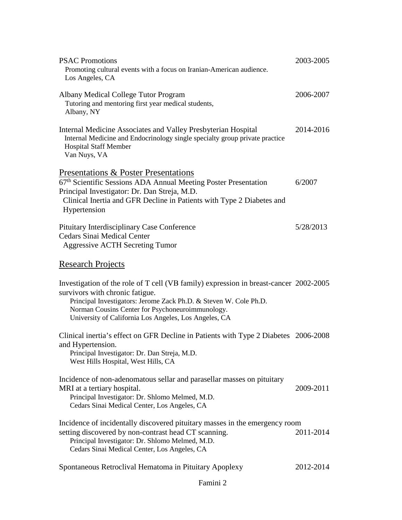| <b>PSAC Promotions</b><br>Promoting cultural events with a focus on Iranian-American audience.<br>Los Angeles, CA                                                                                                                                                                                          | 2003-2005 |
|------------------------------------------------------------------------------------------------------------------------------------------------------------------------------------------------------------------------------------------------------------------------------------------------------------|-----------|
| Albany Medical College Tutor Program<br>Tutoring and mentoring first year medical students,<br>Albany, NY                                                                                                                                                                                                  | 2006-2007 |
| Internal Medicine Associates and Valley Presbyterian Hospital<br>Internal Medicine and Endocrinology single specialty group private practice<br><b>Hospital Staff Member</b><br>Van Nuys, VA                                                                                                               | 2014-2016 |
| Presentations & Poster Presentations                                                                                                                                                                                                                                                                       |           |
| 67th Scientific Sessions ADA Annual Meeting Poster Presentation<br>Principal Investigator: Dr. Dan Streja, M.D.<br>Clinical Inertia and GFR Decline in Patients with Type 2 Diabetes and<br>Hypertension                                                                                                   | 6/2007    |
|                                                                                                                                                                                                                                                                                                            |           |
| Pituitary Interdisciplinary Case Conference<br><b>Cedars Sinai Medical Center</b><br><b>Aggressive ACTH Secreting Tumor</b>                                                                                                                                                                                | 5/28/2013 |
| <b>Research Projects</b>                                                                                                                                                                                                                                                                                   |           |
| Investigation of the role of T cell (VB family) expression in breast-cancer 2002-2005<br>survivors with chronic fatigue.<br>Principal Investigators: Jerome Zack Ph.D. & Steven W. Cole Ph.D.<br>Norman Cousins Center for Psychoneuroimmunology.<br>University of California Los Angeles, Los Angeles, CA |           |
| Clinical inertia's effect on GFR Decline in Patients with Type 2 Diabetes 2006-2008                                                                                                                                                                                                                        |           |
| and Hypertension.<br>Principal Investigator: Dr. Dan Streja, M.D.<br>West Hills Hospital, West Hills, CA                                                                                                                                                                                                   |           |
| Incidence of non-adenomatous sellar and parasellar masses on pituitary<br>MRI at a tertiary hospital.<br>Principal Investigator: Dr. Shlomo Melmed, M.D.<br>Cedars Sinai Medical Center, Los Angeles, CA                                                                                                   | 2009-2011 |
| Incidence of incidentally discovered pituitary masses in the emergency room<br>setting discovered by non-contrast head CT scanning.<br>Principal Investigator: Dr. Shlomo Melmed, M.D.<br>Cedars Sinai Medical Center, Los Angeles, CA                                                                     | 2011-2014 |
| Spontaneous Retroclival Hematoma in Pituitary Apoplexy                                                                                                                                                                                                                                                     | 2012-2014 |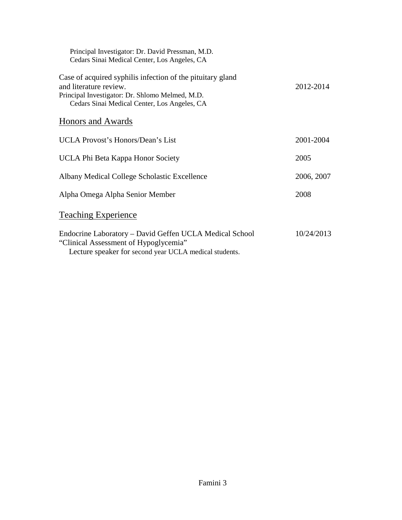| Principal Investigator: Dr. David Pressman, M.D.<br>Cedars Sinai Medical Center, Los Angeles, CA                                                                                        |            |
|-----------------------------------------------------------------------------------------------------------------------------------------------------------------------------------------|------------|
| Case of acquired syphilis infection of the pituitary gland<br>and literature review.<br>Principal Investigator: Dr. Shlomo Melmed, M.D.<br>Cedars Sinai Medical Center, Los Angeles, CA | 2012-2014  |
| Honors and Awards                                                                                                                                                                       |            |
| <b>UCLA Provost's Honors/Dean's List</b>                                                                                                                                                | 2001-2004  |
| UCLA Phi Beta Kappa Honor Society                                                                                                                                                       | 2005       |
| Albany Medical College Scholastic Excellence                                                                                                                                            | 2006, 2007 |
| Alpha Omega Alpha Senior Member                                                                                                                                                         | 2008       |
| <b>Teaching Experience</b>                                                                                                                                                              |            |
| Endocrine Laboratory - David Geffen UCLA Medical School<br>"Clinical Assessment of Hypoglycemia"<br>Lecture speaker for second year UCLA medical students.                              | 10/24/2013 |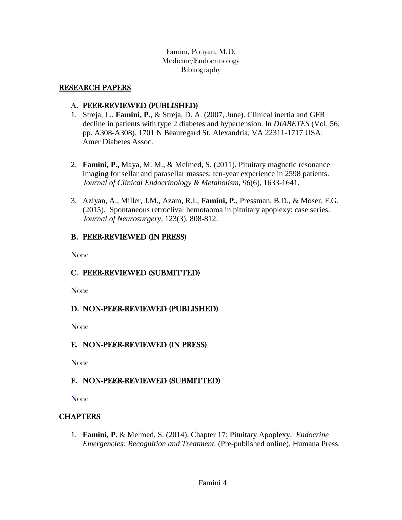Famini, Pouyan, M.D. Medicine/Endocrinology **Bibliography** 

#### RESEARCH PAPERS

#### A. PEER-REVIEWED (PUBLISHED)

- 1. Streja, L., **Famini, P.**, & Streja, D. A. (2007, June). Clinical inertia and GFR decline in patients with type 2 diabetes and hypertension. In *DIABETES* (Vol. 56, pp. A308-A308). 1701 N Beauregard St, Alexandria, VA 22311-1717 USA: Amer Diabetes Assoc.
- 2. **Famini, P.,** Maya, M. M., & Melmed, S. (2011). Pituitary magnetic resonance imaging for sellar and parasellar masses: ten-year experience in 2598 patients. *Journal of Clinical Endocrinology & Metabolism*, *96*(6), 1633-1641.
- 3. Aziyan, A., Miller, J.M., Azam, R.I., **Famini, P.**, Pressman, B.D., & Moser, F.G. (2015). Spontaneous retroclival hemotaoma in pituitary apoplexy: case series. *Journal of Neurosurgery,* 123(3), 808-812.

## B. PEER-REVIEWED (IN PRESS)

None

# C. PEER-REVIEWED (SUBMITTED)

None

## D. NON-PEER-REVIEWED (PUBLISHED)

None

## E. NON-PEER-REVIEWED (IN PRESS)

None

## F. NON-PEER-REVIEWED (SUBMITTED)

None

## **CHAPTERS**

1. **Famini, P.** & Melmed, S. (2014). Chapter 17: Pituitary Apoplexy. *Endocrine Emergencies: Recognition and Treatment.* (Pre-published online). Humana Press.